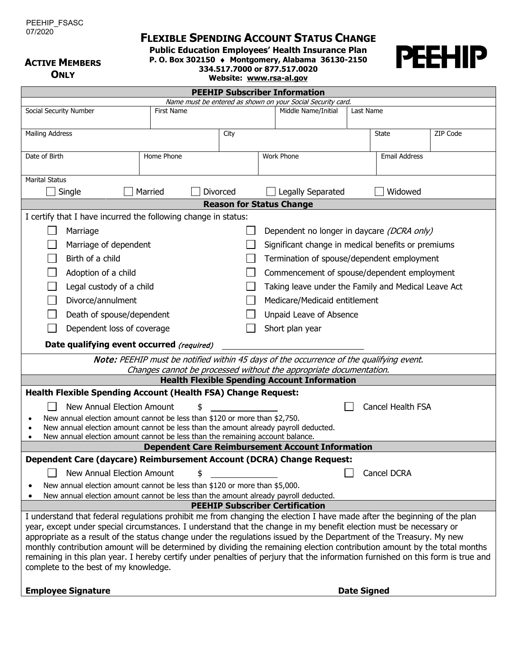# **FLEXIBLE SPENDING ACCOUNT STATUS CHANGE**

**Public Education Employees' Health Insurance Plan**

**P. O. Box 302150** ♦ **Montgomery, Alabama 36130-2150**

**ACTIVE MEMBERS ONLY**

| O. Box 302150 $\leftrightarrow$ Montgomery, Alabama 36130-2 |                         |                              |  |
|-------------------------------------------------------------|-------------------------|------------------------------|--|
|                                                             |                         | 334,517,7000 or 877,517,0020 |  |
|                                                             | Website: www.rsa-al.gov |                              |  |

**PEEHIP Subscriber Information**



|                                                                                                                                                                   |                                                                             |          | Name must be entered as shown on your Social Security card.                                                                                                   |           |                          |          |  |  |  |
|-------------------------------------------------------------------------------------------------------------------------------------------------------------------|-----------------------------------------------------------------------------|----------|---------------------------------------------------------------------------------------------------------------------------------------------------------------|-----------|--------------------------|----------|--|--|--|
| Social Security Number<br>First Name                                                                                                                              |                                                                             |          | Middle Name/Initial                                                                                                                                           | Last Name |                          |          |  |  |  |
|                                                                                                                                                                   |                                                                             |          |                                                                                                                                                               |           |                          |          |  |  |  |
| <b>Mailing Address</b>                                                                                                                                            |                                                                             | City     |                                                                                                                                                               |           | State                    | ZIP Code |  |  |  |
|                                                                                                                                                                   |                                                                             |          |                                                                                                                                                               |           |                          |          |  |  |  |
| Date of Birth<br>Home Phone                                                                                                                                       |                                                                             |          | Work Phone                                                                                                                                                    |           | <b>Email Address</b>     |          |  |  |  |
|                                                                                                                                                                   |                                                                             |          |                                                                                                                                                               |           |                          |          |  |  |  |
| <b>Marital Status</b>                                                                                                                                             |                                                                             |          |                                                                                                                                                               |           |                          |          |  |  |  |
| Single                                                                                                                                                            | Married                                                                     | Divorced | Legally Separated                                                                                                                                             |           | Widowed                  |          |  |  |  |
| <b>Reason for Status Change</b>                                                                                                                                   |                                                                             |          |                                                                                                                                                               |           |                          |          |  |  |  |
| I certify that I have incurred the following change in status:                                                                                                    |                                                                             |          |                                                                                                                                                               |           |                          |          |  |  |  |
|                                                                                                                                                                   |                                                                             |          |                                                                                                                                                               |           |                          |          |  |  |  |
| Marriage                                                                                                                                                          | Dependent no longer in daycare (DCRA only)                                  |          |                                                                                                                                                               |           |                          |          |  |  |  |
|                                                                                                                                                                   | Significant change in medical benefits or premiums<br>Marriage of dependent |          |                                                                                                                                                               |           |                          |          |  |  |  |
| Birth of a child<br>Termination of spouse/dependent employment                                                                                                    |                                                                             |          |                                                                                                                                                               |           |                          |          |  |  |  |
| Adoption of a child<br>Commencement of spouse/dependent employment                                                                                                |                                                                             |          |                                                                                                                                                               |           |                          |          |  |  |  |
| Legal custody of a child                                                                                                                                          | Taking leave under the Family and Medical Leave Act                         |          |                                                                                                                                                               |           |                          |          |  |  |  |
| Divorce/annulment<br>Medicare/Medicaid entitlement                                                                                                                |                                                                             |          |                                                                                                                                                               |           |                          |          |  |  |  |
| Death of spouse/dependent                                                                                                                                         |                                                                             |          | Unpaid Leave of Absence                                                                                                                                       |           |                          |          |  |  |  |
| Dependent loss of coverage                                                                                                                                        |                                                                             |          | Short plan year                                                                                                                                               |           |                          |          |  |  |  |
| Date qualifying event occurred (required)                                                                                                                         |                                                                             |          |                                                                                                                                                               |           |                          |          |  |  |  |
|                                                                                                                                                                   |                                                                             |          |                                                                                                                                                               |           |                          |          |  |  |  |
|                                                                                                                                                                   |                                                                             |          | Note: PEEHIP must be notified within 45 days of the occurrence of the qualifying event.<br>Changes cannot be processed without the appropriate documentation. |           |                          |          |  |  |  |
|                                                                                                                                                                   |                                                                             |          | <b>Health Flexible Spending Account Information</b>                                                                                                           |           |                          |          |  |  |  |
| <b>Health Flexible Spending Account (Health FSA) Change Request:</b>                                                                                              |                                                                             |          |                                                                                                                                                               |           |                          |          |  |  |  |
|                                                                                                                                                                   |                                                                             |          |                                                                                                                                                               |           |                          |          |  |  |  |
| New Annual Election Amount                                                                                                                                        | \$                                                                          |          |                                                                                                                                                               |           | <b>Cancel Health FSA</b> |          |  |  |  |
| New annual election amount cannot be less than \$120 or more than \$2,750.<br>New annual election amount cannot be less than the amount already payroll deducted. |                                                                             |          |                                                                                                                                                               |           |                          |          |  |  |  |
| New annual election amount cannot be less than the remaining account balance.                                                                                     |                                                                             |          |                                                                                                                                                               |           |                          |          |  |  |  |
|                                                                                                                                                                   |                                                                             |          |                                                                                                                                                               |           |                          |          |  |  |  |
| <b>Dependent Care Reimbursement Account Information</b><br>Dependent Care (daycare) Reimbursement Account (DCRA) Change Request:                                  |                                                                             |          |                                                                                                                                                               |           |                          |          |  |  |  |
| New Annual Election Amount                                                                                                                                        | \$                                                                          |          |                                                                                                                                                               |           | Cancel DCRA              |          |  |  |  |
| New annual election amount cannot be less than \$120 or more than \$5,000.                                                                                        |                                                                             |          |                                                                                                                                                               |           |                          |          |  |  |  |
| New annual election amount cannot be less than the amount already payroll deducted.                                                                               |                                                                             |          |                                                                                                                                                               |           |                          |          |  |  |  |
|                                                                                                                                                                   |                                                                             |          | <b>PEEHIP Subscriber Certification</b>                                                                                                                        |           |                          |          |  |  |  |
| I understand that federal regulations prohibit me from changing the election I have made after the beginning of the plan                                          |                                                                             |          |                                                                                                                                                               |           |                          |          |  |  |  |
| year, except under special circumstances. I understand that the change in my benefit election must be necessary or                                                |                                                                             |          |                                                                                                                                                               |           |                          |          |  |  |  |
| appropriate as a result of the status change under the regulations issued by the Department of the Treasury. My new                                               |                                                                             |          |                                                                                                                                                               |           |                          |          |  |  |  |
| monthly contribution amount will be determined by dividing the remaining election contribution amount by the total months                                         |                                                                             |          |                                                                                                                                                               |           |                          |          |  |  |  |
| remaining in this plan year. I hereby certify under penalties of perjury that the information furnished on this form is true and                                  |                                                                             |          |                                                                                                                                                               |           |                          |          |  |  |  |

**Employee Signature Date Signed** 

complete to the best of my knowledge.